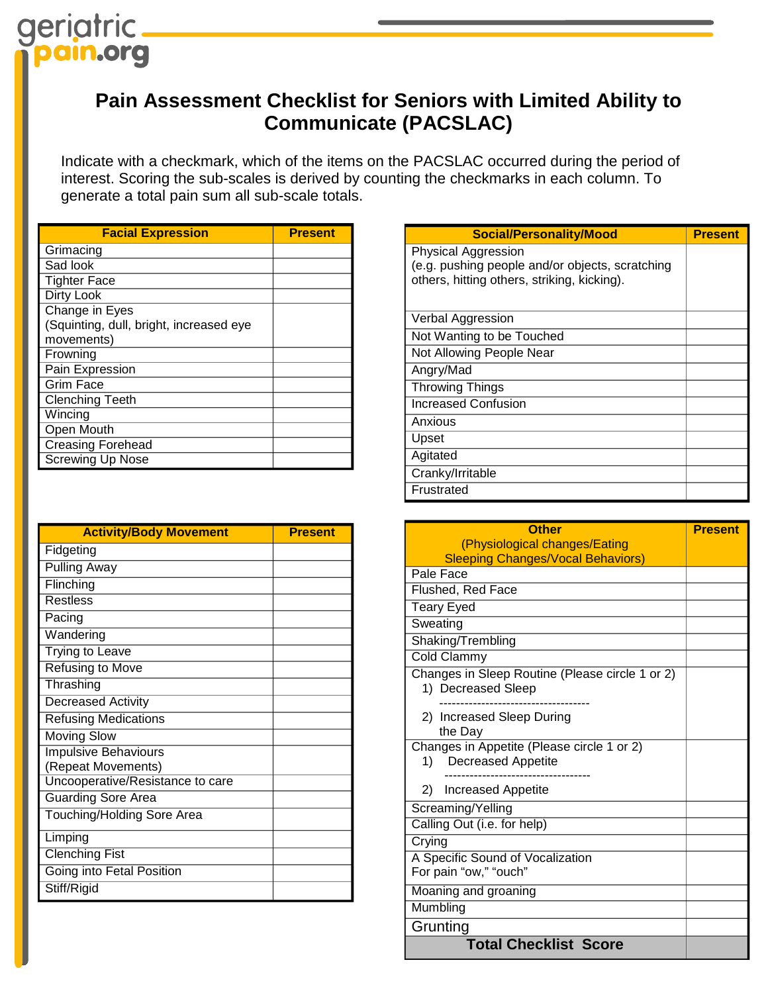## **Pain Assessment Checklist for Seniors with Limited Ability to Communicate (PACSLAC)**

Indicate with a checkmark, which of the items on the PACSLAC occurred during the period of interest. Scoring the sub-scales is derived by counting the checkmarks in each column. To generate a total pain sum all sub-scale totals.

| <b>Facial Expression</b>                | <b>Present</b> |
|-----------------------------------------|----------------|
| Grimacing                               |                |
| Sad look                                |                |
| <b>Tighter Face</b>                     |                |
| <b>Dirty Look</b>                       |                |
| Change in Eyes                          |                |
| (Squinting, dull, bright, increased eye |                |
| movements)                              |                |
| Frowning                                |                |
| Pain Expression                         |                |
| Grim Face                               |                |
| <b>Clenching Teeth</b>                  |                |
| Wincing                                 |                |
| Open Mouth                              |                |
| <b>Creasing Forehead</b>                |                |
| <b>Screwing Up Nose</b>                 |                |

| <b>Activity/Body Movement</b>    | <b>Present</b> |
|----------------------------------|----------------|
| Fidgeting                        |                |
| <b>Pulling Away</b>              |                |
| Flinching                        |                |
| <b>Restless</b>                  |                |
| Pacing                           |                |
| Wandering                        |                |
| Trying to Leave                  |                |
| Refusing to Move                 |                |
| Thrashing                        |                |
| Decreased Activity               |                |
| <b>Refusing Medications</b>      |                |
| <b>Moving Slow</b>               |                |
| <b>Impulsive Behaviours</b>      |                |
| (Repeat Movements)               |                |
| Uncooperative/Resistance to care |                |
| <b>Guarding Sore Area</b>        |                |
| Touching/Holding Sore Area       |                |
| Limping                          |                |
| <b>Clenching Fist</b>            |                |
| Going into Fetal Position        |                |
| Stiff/Rigid                      |                |

| <b>Social/Personality/Mood</b>                  | <b>Present</b> |
|-------------------------------------------------|----------------|
| Physical Aggression                             |                |
| (e.g. pushing people and/or objects, scratching |                |
| others, hitting others, striking, kicking).     |                |
|                                                 |                |
| Verbal Aggression                               |                |
| Not Wanting to be Touched                       |                |
| Not Allowing People Near                        |                |
| Angry/Mad                                       |                |
| <b>Throwing Things</b>                          |                |
| <b>Increased Confusion</b>                      |                |
| Anxious                                         |                |
| Upset                                           |                |
| Agitated                                        |                |
| Cranky/Irritable                                |                |
| Frustrated                                      |                |

| <b>Other</b>                                                           | <b>Present</b> |
|------------------------------------------------------------------------|----------------|
| (Physiological changes/Eating                                          |                |
| <b>Sleeping Changes/Vocal Behaviors)</b>                               |                |
| Pale Face                                                              |                |
| Flushed, Red Face                                                      |                |
| <b>Teary Eyed</b>                                                      |                |
| Sweating                                                               |                |
| Shaking/Trembling                                                      |                |
| Cold Clammy                                                            |                |
| Changes in Sleep Routine (Please circle 1 or 2)<br>1) Decreased Sleep  |                |
| 2) Increased Sleep During<br>the Day                                   |                |
| Changes in Appetite (Please circle 1 or 2)<br>Decreased Appetite<br>1) |                |
| 2) Increased Appetite                                                  |                |
| Screaming/Yelling                                                      |                |
| Calling Out (i.e. for help)                                            |                |
| Crying                                                                 |                |
| A Specific Sound of Vocalization<br>For pain "ow," "ouch"              |                |
| Moaning and groaning                                                   |                |
| Mumbling                                                               |                |
| Grunting                                                               |                |
| <b>Total Checklist Score</b>                                           |                |